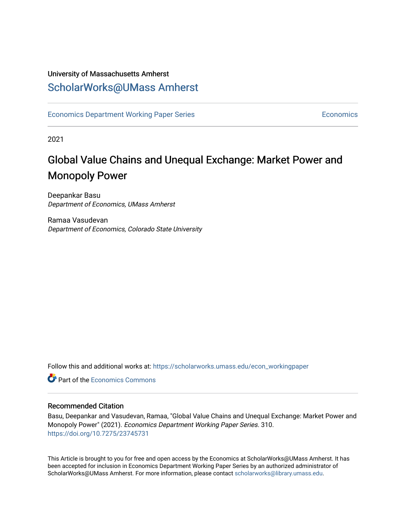## University of Massachusetts Amherst [ScholarWorks@UMass Amherst](https://scholarworks.umass.edu/)

[Economics Department Working Paper Series](https://scholarworks.umass.edu/econ_workingpaper) **Economics** [Economics](https://scholarworks.umass.edu/economics) Economics

2021

## Global Value Chains and Unequal Exchange: Market Power and Monopoly Power

Deepankar Basu Department of Economics, UMass Amherst

Ramaa Vasudevan Department of Economics, Colorado State University

Follow this and additional works at: [https://scholarworks.umass.edu/econ\\_workingpaper](https://scholarworks.umass.edu/econ_workingpaper?utm_source=scholarworks.umass.edu%2Fecon_workingpaper%2F310&utm_medium=PDF&utm_campaign=PDFCoverPages) 

**C** Part of the [Economics Commons](http://network.bepress.com/hgg/discipline/340?utm_source=scholarworks.umass.edu%2Fecon_workingpaper%2F310&utm_medium=PDF&utm_campaign=PDFCoverPages)

#### Recommended Citation

Basu, Deepankar and Vasudevan, Ramaa, "Global Value Chains and Unequal Exchange: Market Power and Monopoly Power" (2021). Economics Department Working Paper Series. 310. <https://doi.org/10.7275/23745731>

This Article is brought to you for free and open access by the Economics at ScholarWorks@UMass Amherst. It has been accepted for inclusion in Economics Department Working Paper Series by an authorized administrator of ScholarWorks@UMass Amherst. For more information, please contact [scholarworks@library.umass.edu.](mailto:scholarworks@library.umass.edu)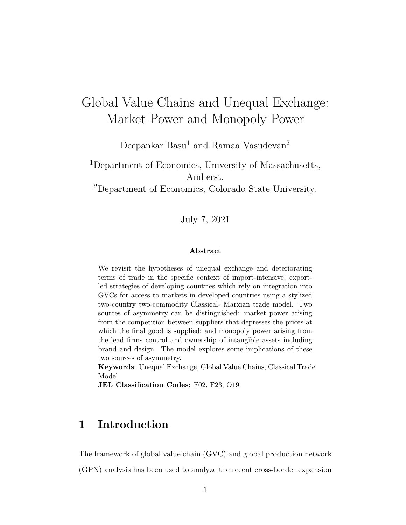## <span id="page-1-0"></span>Global Value Chains and Unequal Exchange: Market Power and Monopoly Power

Deepankar Basu<sup>1</sup> and Ramaa Vasudevan<sup>2</sup>

<sup>1</sup>Department of Economics, University of Massachusetts, Amherst. <sup>2</sup>Department of Economics, Colorado State University.

July 7, 2021

#### Abstract

We revisit the hypotheses of unequal exchange and deteriorating terms of trade in the specific context of import-intensive, exportled strategies of developing countries which rely on integration into GVCs for access to markets in developed countries using a stylized two-country two-commodity Classical- Marxian trade model. Two sources of asymmetry can be distinguished: market power arising from the competition between suppliers that depresses the prices at which the final good is supplied; and monopoly power arising from the lead firms control and ownership of intangible assets including brand and design. The model explores some implications of these two sources of asymmetry.

Keywords: Unequal Exchange, Global Value Chains, Classical Trade Model

JEL Classification Codes: F02, F23, O19

## 1 Introduction

The framework of global value chain (GVC) and global production network (GPN) analysis has been used to analyze the recent cross-border expansion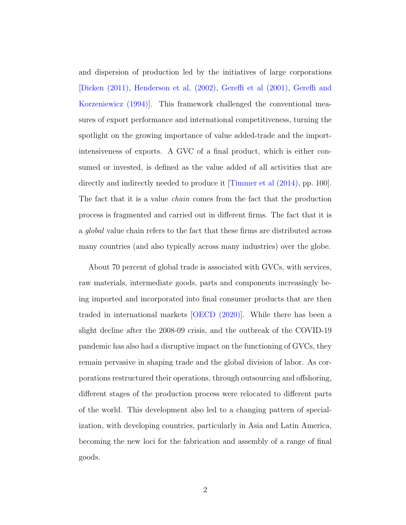and dispersion of production led by the initiatives of large corporations [\[Dicken \(2011\),](#page-37-0) [Henderson et al, \(2002\),](#page-38-0) [Gereffi et al \(2001\),](#page-37-1) [Gereffi and](#page-37-2) [Korzeniewicz \(1994\)\]](#page-37-2). This framework challenged the conventional measures of export performance and international competitiveness, turning the spotlight on the growing importance of value added-trade and the importintensiveness of exports. A GVC of a final product, which is either consumed or invested, is defined as the value added of all activities that are directly and indirectly needed to produce it [\[Timmer et al \(2014\),](#page-39-0) pp. 100]. The fact that it is a value *chain* comes from the fact that the production process is fragmented and carried out in different firms. The fact that it is a global value chain refers to the fact that these firms are distributed across many countries (and also typically across many industries) over the globe.

About 70 percent of global trade is associated with GVCs, with services, raw materials, intermediate goods, parts and components increasingly being imported and incorporated into final consumer products that are then traded in international markets [\[OECD \(2020\)\]](#page-38-1). While there has been a slight decline after the 2008-09 crisis, and the outbreak of the COVID-19 pandemic has also had a disruptive impact on the functioning of GVCs, they remain pervasive in shaping trade and the global division of labor. As corporations restructured their operations, through outsourcing and offshoring, different stages of the production process were relocated to different parts of the world. This development also led to a changing pattern of specialization, with developing countries, particularly in Asia and Latin America, becoming the new loci for the fabrication and assembly of a range of final goods.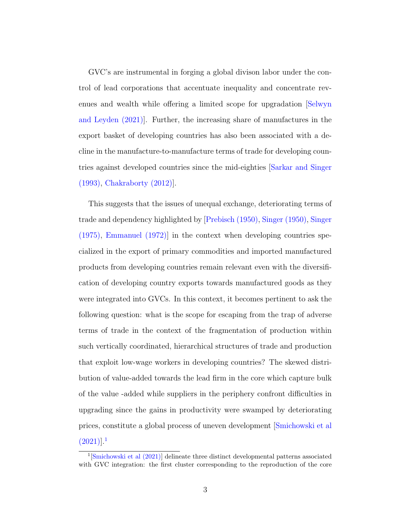GVC's are instrumental in forging a global divison labor under the control of lead corporations that accentuate inequality and concentrate revenues and wealth while offering a limited scope for upgradation [\[Selwyn](#page-39-1) [and Leyden \(2021\)\]](#page-39-1). Further, the increasing share of manufactures in the export basket of developing countries has also been associated with a decline in the manufacture-to-manufacture terms of trade for developing countries against developed countries since the mid-eighties [\[Sarkar and Singer](#page-39-2) [\(1993\),](#page-39-2) [Chakraborty \(2012\)\]](#page-36-0).

This suggests that the issues of unequal exchange, deteriorating terms of trade and dependency highlighted by [\[Prebisch \(1950\),](#page-38-2) [Singer \(1950\),](#page-38-3) [Singer](#page-38-4) [\(1975\),](#page-38-4) [Emmanuel \(1972\)\]](#page-37-3) in the context when developing countries specialized in the export of primary commodities and imported manufactured products from developing countries remain relevant even with the diversification of developing country exports towards manufactured goods as they were integrated into GVCs. In this context, it becomes pertinent to ask the following question: what is the scope for escaping from the trap of adverse terms of trade in the context of the fragmentation of production within such vertically coordinated, hierarchical structures of trade and production that exploit low-wage workers in developing countries? The skewed distribution of value-added towards the lead firm in the core which capture bulk of the value -added while suppliers in the periphery confront difficulties in upgrading since the gains in productivity were swamped by deteriorating prices, constitute a global process of uneven development [\[Smichowski et al](#page-39-3)  $(2021)$  $(2021)$  $(2021)$ ]<sup>1</sup>

<sup>&</sup>lt;sup>1</sup>[\[Smichowski et al \(2021\)\]](#page-39-3) delineate three distinct developmental patterns associated with GVC integration: the first cluster corresponding to the reproduction of the core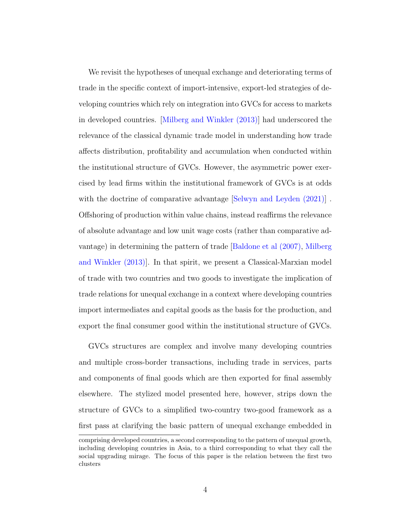We revisit the hypotheses of unequal exchange and deteriorating terms of trade in the specific context of import-intensive, export-led strategies of developing countries which rely on integration into GVCs for access to markets in developed countries. [\[Milberg and Winkler \(2013\)\]](#page-38-5) had underscored the relevance of the classical dynamic trade model in understanding how trade affects distribution, profitability and accumulation when conducted within the institutional structure of GVCs. However, the asymmetric power exercised by lead firms within the institutional framework of GVCs is at odds with the doctrine of comparative advantage Selwyn and Leyden  $(2021)$ . Offshoring of production within value chains, instead reaffirms the relevance of absolute advantage and low unit wage costs (rather than comparative advantage) in determining the pattern of trade [\[Baldone et al \(2007\),](#page-36-1) [Milberg](#page-38-5) [and Winkler \(2013\)\]](#page-38-5). In that spirit, we present a Classical-Marxian model of trade with two countries and two goods to investigate the implication of trade relations for unequal exchange in a context where developing countries import intermediates and capital goods as the basis for the production, and export the final consumer good within the institutional structure of GVCs.

GVCs structures are complex and involve many developing countries and multiple cross-border transactions, including trade in services, parts and components of final goods which are then exported for final assembly elsewhere. The stylized model presented here, however, strips down the structure of GVCs to a simplified two-country two-good framework as a first pass at clarifying the basic pattern of unequal exchange embedded in

comprising developed countries, a second corresponding to the pattern of unequal growth, including developing countries in Asia, to a third corresponding to what they call the social upgrading mirage. The focus of this paper is the relation between the first two clusters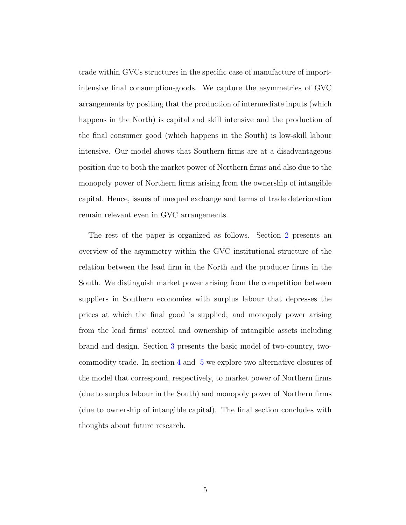trade within GVCs structures in the specific case of manufacture of importintensive final consumption-goods. We capture the asymmetries of GVC arrangements by positing that the production of intermediate inputs (which happens in the North) is capital and skill intensive and the production of the final consumer good (which happens in the South) is low-skill labour intensive. Our model shows that Southern firms are at a disadvantageous position due to both the market power of Northern firms and also due to the monopoly power of Northern firms arising from the ownership of intangible capital. Hence, issues of unequal exchange and terms of trade deterioration remain relevant even in GVC arrangements.

The rest of the paper is organized as follows. Section [2](#page-6-0) presents an overview of the asymmetry within the GVC institutional structure of the relation between the lead firm in the North and the producer firms in the South. We distinguish market power arising from the competition between suppliers in Southern economies with surplus labour that depresses the prices at which the final good is supplied; and monopoly power arising from the lead firms' control and ownership of intangible assets including brand and design. Section [3](#page-12-0) presents the basic model of two-country, twocommodity trade. In section [4](#page-19-0) and [5](#page-24-0) we explore two alternative closures of the model that correspond, respectively, to market power of Northern firms (due to surplus labour in the South) and monopoly power of Northern firms (due to ownership of intangible capital). The final section concludes with thoughts about future research.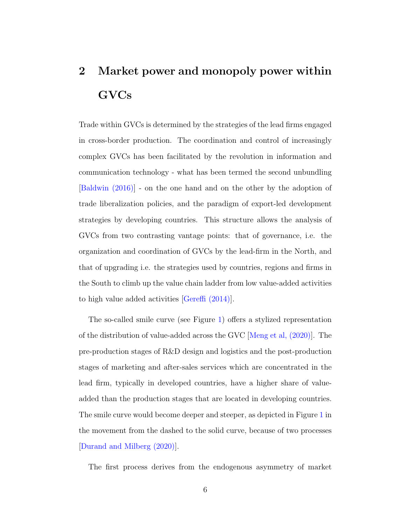# <span id="page-6-0"></span>2 Market power and monopoly power within GVCs

Trade within GVCs is determined by the strategies of the lead firms engaged in cross-border production. The coordination and control of increasingly complex GVCs has been facilitated by the revolution in information and communication technology - what has been termed the second unbundling [\[Baldwin \(2016\)\]](#page-36-2) - on the one hand and on the other by the adoption of trade liberalization policies, and the paradigm of export-led development strategies by developing countries. This structure allows the analysis of GVCs from two contrasting vantage points: that of governance, i.e. the organization and coordination of GVCs by the lead-firm in the North, and that of upgrading i.e. the strategies used by countries, regions and firms in the South to climb up the value chain ladder from low value-added activities to high value added activities [\[Gereffi \(2014\)\]](#page-37-4).

The so-called smile curve (see Figure [1\)](#page-7-0) offers a stylized representation of the distribution of value-added across the GVC [\[Meng et al, \(2020\)\]](#page-38-6). The pre-production stages of R&D design and logistics and the post-production stages of marketing and after-sales services which are concentrated in the lead firm, typically in developed countries, have a higher share of valueadded than the production stages that are located in developing countries. The smile curve would become deeper and steeper, as depicted in Figure [1](#page-7-0) in the movement from the dashed to the solid curve, because of two processes [\[Durand and Milberg \(2020\)\]](#page-37-5).

The first process derives from the endogenous asymmetry of market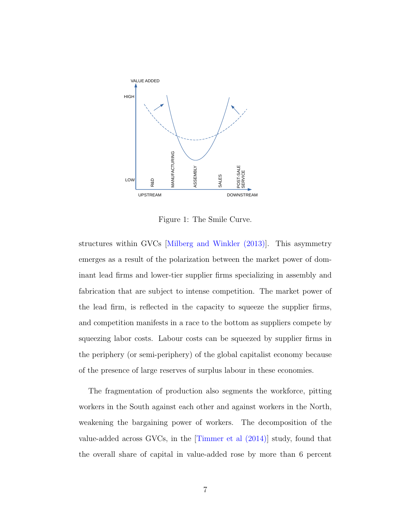<span id="page-7-0"></span>

Figure 1: The Smile Curve.

structures within GVCs [\[Milberg and Winkler \(2013\)\]](#page-38-5). This asymmetry emerges as a result of the polarization between the market power of dominant lead firms and lower-tier supplier firms specializing in assembly and fabrication that are subject to intense competition. The market power of the lead firm, is reflected in the capacity to squeeze the supplier firms, and competition manifests in a race to the bottom as suppliers compete by squeezing labor costs. Labour costs can be squeezed by supplier firms in the periphery (or semi-periphery) of the global capitalist economy because of the presence of large reserves of surplus labour in these economies.

The fragmentation of production also segments the workforce, pitting workers in the South against each other and against workers in the North, weakening the bargaining power of workers. The decomposition of the value-added across GVCs, in the [\[Timmer et al \(2014\)\]](#page-39-0) study, found that the overall share of capital in value-added rose by more than 6 percent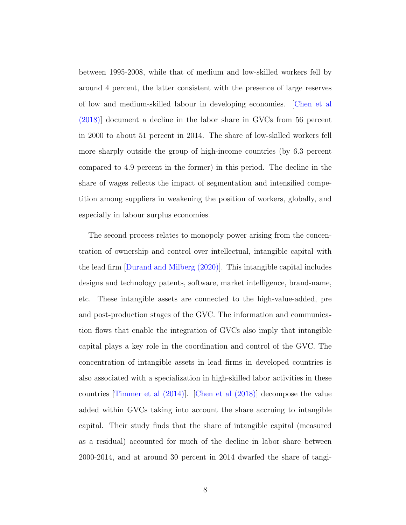between 1995-2008, while that of medium and low-skilled workers fell by around 4 percent, the latter consistent with the presence of large reserves of low and medium-skilled labour in developing economies. [\[Chen et al](#page-36-3) [\(2018\)\]](#page-36-3) document a decline in the labor share in GVCs from 56 percent in 2000 to about 51 percent in 2014. The share of low-skilled workers fell more sharply outside the group of high-income countries (by 6.3 percent compared to 4.9 percent in the former) in this period. The decline in the share of wages reflects the impact of segmentation and intensified competition among suppliers in weakening the position of workers, globally, and especially in labour surplus economies.

The second process relates to monopoly power arising from the concentration of ownership and control over intellectual, intangible capital with the lead firm [\[Durand and Milberg \(2020\)\]](#page-37-5). This intangible capital includes designs and technology patents, software, market intelligence, brand-name, etc. These intangible assets are connected to the high-value-added, pre and post-production stages of the GVC. The information and communication flows that enable the integration of GVCs also imply that intangible capital plays a key role in the coordination and control of the GVC. The concentration of intangible assets in lead firms in developed countries is also associated with a specialization in high-skilled labor activities in these countries [\[Timmer et al \(2014\)\]](#page-39-0). [\[Chen et al \(2018\)\]](#page-36-3) decompose the value added within GVCs taking into account the share accruing to intangible capital. Their study finds that the share of intangible capital (measured as a residual) accounted for much of the decline in labor share between 2000-2014, and at around 30 percent in 2014 dwarfed the share of tangi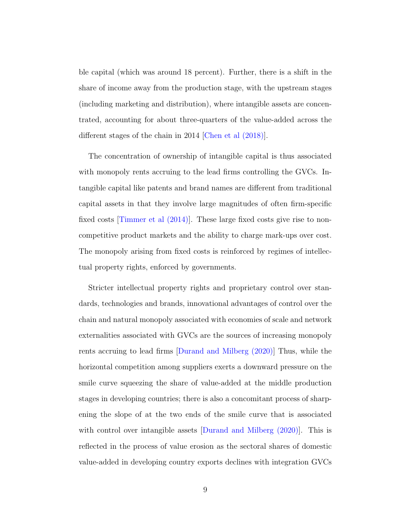ble capital (which was around 18 percent). Further, there is a shift in the share of income away from the production stage, with the upstream stages (including marketing and distribution), where intangible assets are concentrated, accounting for about three-quarters of the value-added across the different stages of the chain in 2014 [\[Chen et al \(2018\)\]](#page-36-3).

The concentration of ownership of intangible capital is thus associated with monopoly rents accruing to the lead firms controlling the GVCs. Intangible capital like patents and brand names are different from traditional capital assets in that they involve large magnitudes of often firm-specific fixed costs [\[Timmer et al \(2014\)\]](#page-39-0). These large fixed costs give rise to noncompetitive product markets and the ability to charge mark-ups over cost. The monopoly arising from fixed costs is reinforced by regimes of intellectual property rights, enforced by governments.

Stricter intellectual property rights and proprietary control over standards, technologies and brands, innovational advantages of control over the chain and natural monopoly associated with economies of scale and network externalities associated with GVCs are the sources of increasing monopoly rents accruing to lead firms [\[Durand and Milberg \(2020\)\]](#page-37-5) Thus, while the horizontal competition among suppliers exerts a downward pressure on the smile curve squeezing the share of value-added at the middle production stages in developing countries; there is also a concomitant process of sharpening the slope of at the two ends of the smile curve that is associated with control over intangible assets [\[Durand and Milberg \(2020\)\]](#page-37-5). This is reflected in the process of value erosion as the sectoral shares of domestic value-added in developing country exports declines with integration GVCs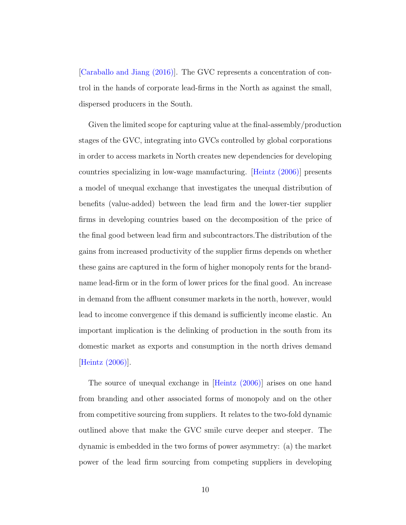[\[Caraballo and Jiang \(2016\)\]](#page-36-4). The GVC represents a concentration of control in the hands of corporate lead-firms in the North as against the small, dispersed producers in the South.

Given the limited scope for capturing value at the final-assembly/production stages of the GVC, integrating into GVCs controlled by global corporations in order to access markets in North creates new dependencies for developing countries specializing in low-wage manufacturing. [\[Heintz \(2006\)\]](#page-38-7) presents a model of unequal exchange that investigates the unequal distribution of benefits (value-added) between the lead firm and the lower-tier supplier firms in developing countries based on the decomposition of the price of the final good between lead firm and subcontractors.The distribution of the gains from increased productivity of the supplier firms depends on whether these gains are captured in the form of higher monopoly rents for the brandname lead-firm or in the form of lower prices for the final good. An increase in demand from the affluent consumer markets in the north, however, would lead to income convergence if this demand is sufficiently income elastic. An important implication is the delinking of production in the south from its domestic market as exports and consumption in the north drives demand [\[Heintz \(2006\)\]](#page-38-7).

The source of unequal exchange in [\[Heintz \(2006\)\]](#page-38-7) arises on one hand from branding and other associated forms of monopoly and on the other from competitive sourcing from suppliers. It relates to the two-fold dynamic outlined above that make the GVC smile curve deeper and steeper. The dynamic is embedded in the two forms of power asymmetry: (a) the market power of the lead firm sourcing from competing suppliers in developing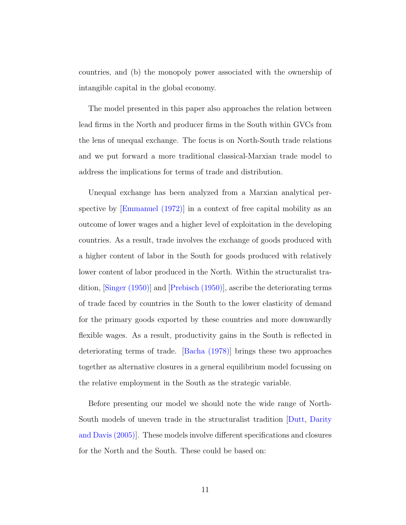countries, and (b) the monopoly power associated with the ownership of intangible capital in the global economy.

The model presented in this paper also approaches the relation between lead firms in the North and producer firms in the South within GVCs from the lens of unequal exchange. The focus is on North-South trade relations and we put forward a more traditional classical-Marxian trade model to address the implications for terms of trade and distribution.

Unequal exchange has been analyzed from a Marxian analytical perspective by [\[Emmanuel \(1972\)\]](#page-37-3) in a context of free capital mobility as an outcome of lower wages and a higher level of exploitation in the developing countries. As a result, trade involves the exchange of goods produced with a higher content of labor in the South for goods produced with relatively lower content of labor produced in the North. Within the structuralist tradition, [\[Singer \(1950\)\]](#page-38-3) and [\[Prebisch \(1950\)\]](#page-38-2), ascribe the deteriorating terms of trade faced by countries in the South to the lower elasticity of demand for the primary goods exported by these countries and more downwardly flexible wages. As a result, productivity gains in the South is reflected in deteriorating terms of trade. [\[Bacha \(1978\)\]](#page-36-5) brings these two approaches together as alternative closures in a general equilibrium model focussing on the relative employment in the South as the strategic variable.

Before presenting our model we should note the wide range of North-South models of uneven trade in the structuralist tradition [\[Dutt,](#page-37-6) [Darity](#page-37-7) [and Davis \(2005\)\]](#page-37-7). These models involve different specifications and closures for the North and the South. These could be based on: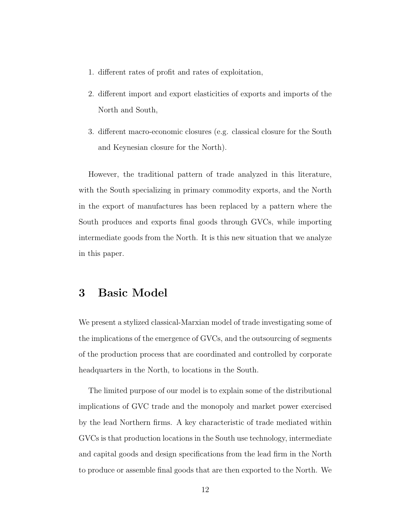- 1. different rates of profit and rates of exploitation,
- 2. different import and export elasticities of exports and imports of the North and South,
- 3. different macro-economic closures (e.g. classical closure for the South and Keynesian closure for the North).

However, the traditional pattern of trade analyzed in this literature, with the South specializing in primary commodity exports, and the North in the export of manufactures has been replaced by a pattern where the South produces and exports final goods through GVCs, while importing intermediate goods from the North. It is this new situation that we analyze in this paper.

## <span id="page-12-0"></span>3 Basic Model

We present a stylized classical-Marxian model of trade investigating some of the implications of the emergence of GVCs, and the outsourcing of segments of the production process that are coordinated and controlled by corporate headquarters in the North, to locations in the South.

The limited purpose of our model is to explain some of the distributional implications of GVC trade and the monopoly and market power exercised by the lead Northern firms. A key characteristic of trade mediated within GVCs is that production locations in the South use technology, intermediate and capital goods and design specifications from the lead firm in the North to produce or assemble final goods that are then exported to the North. We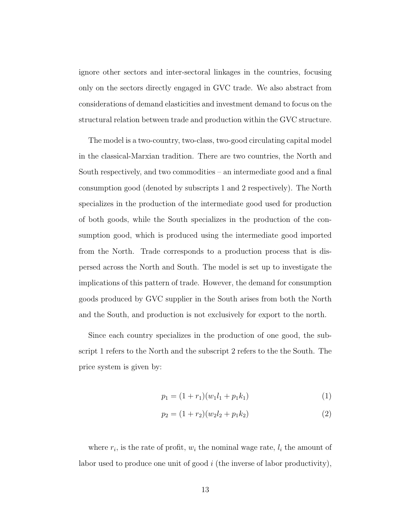ignore other sectors and inter-sectoral linkages in the countries, focusing only on the sectors directly engaged in GVC trade. We also abstract from considerations of demand elasticities and investment demand to focus on the structural relation between trade and production within the GVC structure.

The model is a two-country, two-class, two-good circulating capital model in the classical-Marxian tradition. There are two countries, the North and South respectively, and two commodities – an intermediate good and a final consumption good (denoted by subscripts 1 and 2 respectively). The North specializes in the production of the intermediate good used for production of both goods, while the South specializes in the production of the consumption good, which is produced using the intermediate good imported from the North. Trade corresponds to a production process that is dispersed across the North and South. The model is set up to investigate the implications of this pattern of trade. However, the demand for consumption goods produced by GVC supplier in the South arises from both the North and the South, and production is not exclusively for export to the north.

Since each country specializes in the production of one good, the subscript 1 refers to the North and the subscript 2 refers to the the South. The price system is given by:

$$
p_1 = (1 + r_1)(w_1 l_1 + p_1 k_1) \tag{1}
$$

$$
p_2 = (1 + r_2)(w_2 l_2 + p_1 k_2)
$$
\n(2)

where  $r_i$ , is the rate of profit,  $w_i$  the nominal wage rate,  $l_i$  the amount of labor used to produce one unit of good  $i$  (the inverse of labor productivity),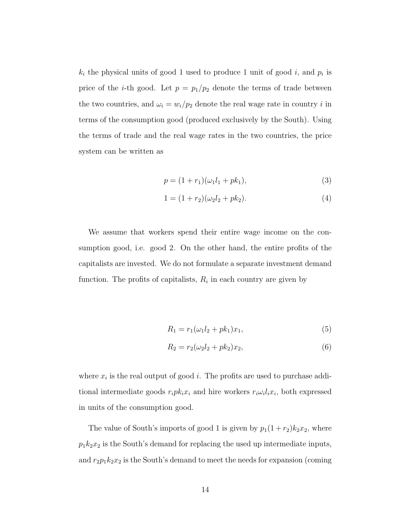$k_i$  the physical units of good 1 used to produce 1 unit of good i, and  $p_i$  is price of the *i*-th good. Let  $p = p_1/p_2$  denote the terms of trade between the two countries, and  $\omega_i = w_i/p_2$  denote the real wage rate in country *i* in terms of the consumption good (produced exclusively by the South). Using the terms of trade and the real wage rates in the two countries, the price system can be written as

$$
p = (1 + r_1)(\omega_1 l_1 + p k_1),
$$
\n(3)

$$
1 = (1 + r_2)(\omega_2 l_2 + p k_2). \tag{4}
$$

We assume that workers spend their entire wage income on the consumption good, i.e. good 2. On the other hand, the entire profits of the capitalists are invested. We do not formulate a separate investment demand function. The profits of capitalists,  $R_i$  in each country are given by

$$
R_1 = r_1(\omega_1 l_2 + p k_1) x_1,\tag{5}
$$

$$
R_2 = r_2(\omega_2 l_2 + p k_2) x_2, \tag{6}
$$

where  $x_i$  is the real output of good *i*. The profits are used to purchase additional intermediate goods  $r_i p k_i x_i$  and hire workers  $r_i \omega_i l_i x_i$ , both expressed in units of the consumption good.

The value of South's imports of good 1 is given by  $p_1(1 + r_2)k_2x_2$ , where  $p_1k_2x_2$  is the South's demand for replacing the used up intermediate inputs, and  $r_2p_1k_2x_2$  is the South's demand to meet the needs for expansion (coming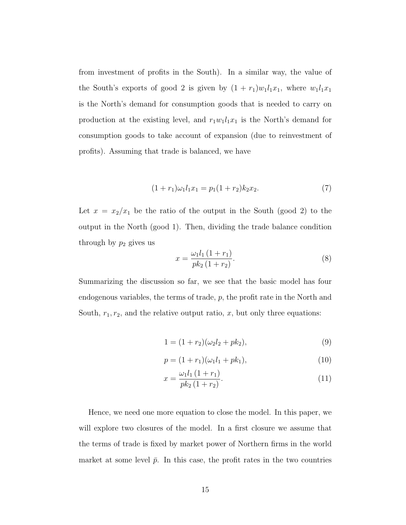from investment of profits in the South). In a similar way, the value of the South's exports of good 2 is given by  $(1 + r_1)w_1l_1x_1$ , where  $w_1l_1x_1$ is the North's demand for consumption goods that is needed to carry on production at the existing level, and  $r_1w_1l_1x_1$  is the North's demand for consumption goods to take account of expansion (due to reinvestment of profits). Assuming that trade is balanced, we have

$$
(1+r_1)\omega_1 l_1 x_1 = p_1(1+r_2)k_2 x_2.
$$
\n(7)

<span id="page-15-3"></span>Let  $x = x_2/x_1$  be the ratio of the output in the South (good 2) to the output in the North (good 1). Then, dividing the trade balance condition through by  $p_2$  gives us

$$
x = \frac{\omega_1 l_1 (1 + r_1)}{p k_2 (1 + r_2)}.
$$
\n(8)

Summarizing the discussion so far, we see that the basic model has four endogenous variables, the terms of trade, p, the profit rate in the North and South,  $r_1, r_2$ , and the relative output ratio, x, but only three equations:

<span id="page-15-0"></span>
$$
1 = (1 + r_2)(\omega_2 l_2 + p k_2), \tag{9}
$$

<span id="page-15-2"></span><span id="page-15-1"></span>
$$
p = (1 + r_1)(\omega_1 l_1 + p k_1), \tag{10}
$$

$$
x = \frac{\omega_1 l_1 (1 + r_1)}{p k_2 (1 + r_2)}.
$$
\n(11)

Hence, we need one more equation to close the model. In this paper, we will explore two closures of the model. In a first closure we assume that the terms of trade is fixed by market power of Northern firms in the world market at some level  $\bar{p}$ . In this case, the profit rates in the two countries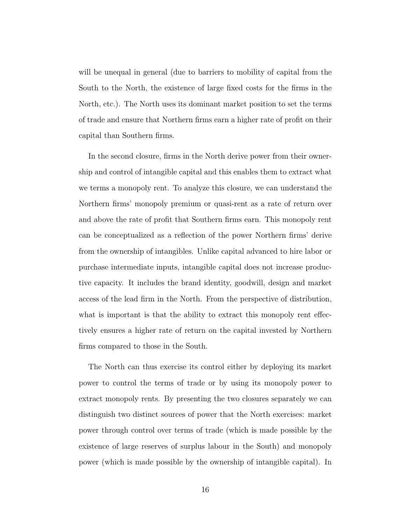will be unequal in general (due to barriers to mobility of capital from the South to the North, the existence of large fixed costs for the firms in the North, etc.). The North uses its dominant market position to set the terms of trade and ensure that Northern firms earn a higher rate of profit on their capital than Southern firms.

In the second closure, firms in the North derive power from their ownership and control of intangible capital and this enables them to extract what we terms a monopoly rent. To analyze this closure, we can understand the Northern firms' monopoly premium or quasi-rent as a rate of return over and above the rate of profit that Southern firms earn. This monopoly rent can be conceptualized as a reflection of the power Northern firms' derive from the ownership of intangibles. Unlike capital advanced to hire labor or purchase intermediate inputs, intangible capital does not increase productive capacity. It includes the brand identity, goodwill, design and market access of the lead firm in the North. From the perspective of distribution, what is important is that the ability to extract this monopoly rent effectively ensures a higher rate of return on the capital invested by Northern firms compared to those in the South.

The North can thus exercise its control either by deploying its market power to control the terms of trade or by using its monopoly power to extract monopoly rents. By presenting the two closures separately we can distinguish two distinct sources of power that the North exercises: market power through control over terms of trade (which is made possible by the existence of large reserves of surplus labour in the South) and monopoly power (which is made possible by the ownership of intangible capital). In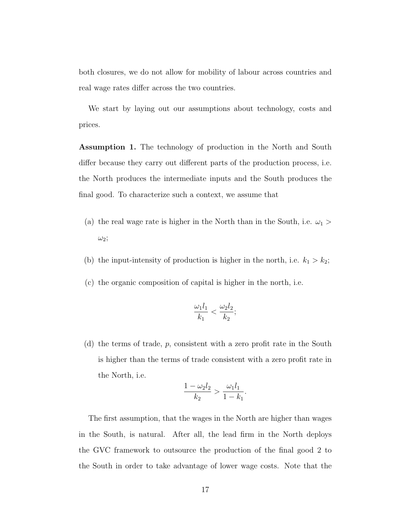both closures, we do not allow for mobility of labour across countries and real wage rates differ across the two countries.

We start by laying out our assumptions about technology, costs and prices.

<span id="page-17-0"></span>Assumption 1. The technology of production in the North and South differ because they carry out different parts of the production process, i.e. the North produces the intermediate inputs and the South produces the final good. To characterize such a context, we assume that

- (a) the real wage rate is higher in the North than in the South, i.e.  $\omega_1$  >  $\omega_2$ ;
- (b) the input-intensity of production is higher in the north, i.e.  $k_1 > k_2$ ;
- (c) the organic composition of capital is higher in the north, i.e.

$$
\frac{\omega_1 l_1}{k_1} < \frac{\omega_2 l_2}{k_2};
$$

(d) the terms of trade, p, consistent with a zero profit rate in the South is higher than the terms of trade consistent with a zero profit rate in the North, i.e.

$$
\frac{1 - \omega_2 l_2}{k_2} > \frac{\omega_1 l_1}{1 - k_1}.
$$

The first assumption, that the wages in the North are higher than wages in the South, is natural. After all, the lead firm in the North deploys the GVC framework to outsource the production of the final good 2 to the South in order to take advantage of lower wage costs. Note that the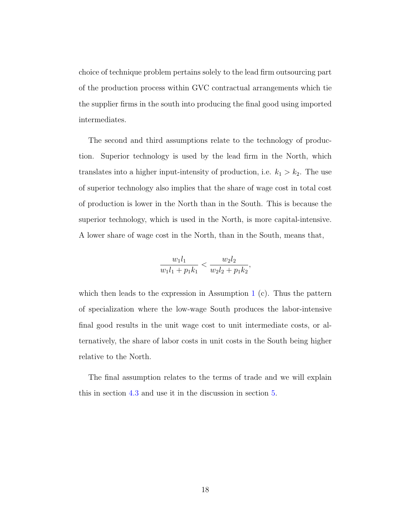choice of technique problem pertains solely to the lead firm outsourcing part of the production process within GVC contractual arrangements which tie the supplier firms in the south into producing the final good using imported intermediates.

The second and third assumptions relate to the technology of production. Superior technology is used by the lead firm in the North, which translates into a higher input-intensity of production, i.e.  $k_1 > k_2$ . The use of superior technology also implies that the share of wage cost in total cost of production is lower in the North than in the South. This is because the superior technology, which is used in the North, is more capital-intensive. A lower share of wage cost in the North, than in the South, means that,

$$
\frac{w_1l_1}{w_1l_1 + p_1k_1} < \frac{w_2l_2}{w_2l_2 + p_1k_2},
$$

which then leads to the expression in Assumption [1](#page-17-0)  $(c)$ . Thus the pattern of specialization where the low-wage South produces the labor-intensive final good results in the unit wage cost to unit intermediate costs, or alternatively, the share of labor costs in unit costs in the South being higher relative to the North.

The final assumption relates to the terms of trade and we will explain this in section [4.3](#page-22-0) and use it in the discussion in section [5.](#page-24-0)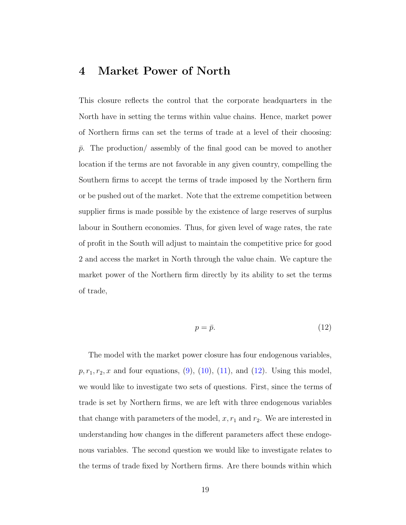### <span id="page-19-0"></span>4 Market Power of North

This closure reflects the control that the corporate headquarters in the North have in setting the terms within value chains. Hence, market power of Northern firms can set the terms of trade at a level of their choosing:  $\bar{p}$ . The production/ assembly of the final good can be moved to another location if the terms are not favorable in any given country, compelling the Southern firms to accept the terms of trade imposed by the Northern firm or be pushed out of the market. Note that the extreme competition between supplier firms is made possible by the existence of large reserves of surplus labour in Southern economies. Thus, for given level of wage rates, the rate of profit in the South will adjust to maintain the competitive price for good 2 and access the market in North through the value chain. We capture the market power of the Northern firm directly by its ability to set the terms of trade,

$$
p = \bar{p}.\tag{12}
$$

<span id="page-19-1"></span>The model with the market power closure has four endogenous variables,  $p, r_1, r_2, x$  and four equations, [\(9\)](#page-15-0), [\(10\)](#page-15-1), [\(11\)](#page-15-2), and [\(12\)](#page-19-1). Using this model, we would like to investigate two sets of questions. First, since the terms of trade is set by Northern firms, we are left with three endogenous variables that change with parameters of the model,  $x, r_1$  and  $r_2$ . We are interested in understanding how changes in the different parameters affect these endogenous variables. The second question we would like to investigate relates to the terms of trade fixed by Northern firms. Are there bounds within which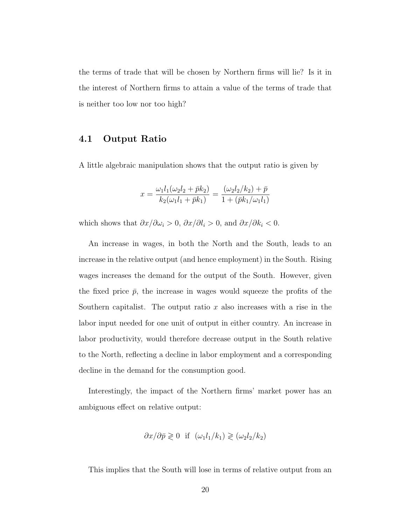the terms of trade that will be chosen by Northern firms will lie? Is it in the interest of Northern firms to attain a value of the terms of trade that is neither too low nor too high?

#### 4.1 Output Ratio

A little algebraic manipulation shows that the output ratio is given by

$$
x = \frac{\omega_1 l_1(\omega_2 l_2 + \bar{p} k_2)}{k_2(\omega_1 l_1 + \bar{p} k_1)} = \frac{(\omega_2 l_2 / k_2) + \bar{p}}{1 + (\bar{p} k_1 / \omega_1 l_1)}
$$

which shows that  $\partial x/\partial \omega_i > 0$ ,  $\partial x/\partial l_i > 0$ , and  $\partial x/\partial k_i < 0$ .

An increase in wages, in both the North and the South, leads to an increase in the relative output (and hence employment) in the South. Rising wages increases the demand for the output of the South. However, given the fixed price  $\bar{p}$ , the increase in wages would squeeze the profits of the Southern capitalist. The output ratio x also increases with a rise in the labor input needed for one unit of output in either country. An increase in labor productivity, would therefore decrease output in the South relative to the North, reflecting a decline in labor employment and a corresponding decline in the demand for the consumption good.

Interestingly, the impact of the Northern firms' market power has an ambiguous effect on relative output:

$$
\partial x/\partial \bar{p} \geq 0
$$
 if  $(\omega_1 l_1/k_1) \geq (\omega_2 l_2/k_2)$ 

This implies that the South will lose in terms of relative output from an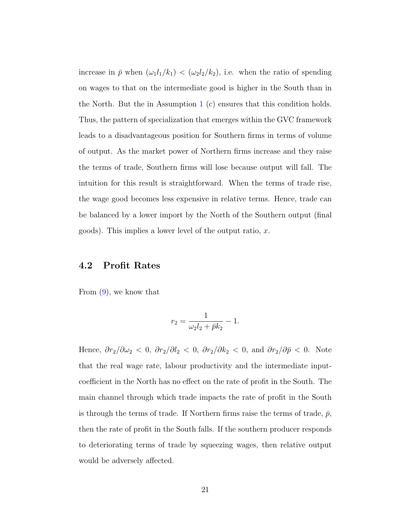increase in  $\bar{p}$  when  $(\omega_1 l_1/k_1) < (\omega_2 l_2/k_2)$ , i.e. when the ratio of spending on wages to that on the intermediate good is higher in the South than in the North. But the in Assumption [1](#page-17-0) (c) ensures that this condition holds. Thus, the pattern of specialization that emerges within the GVC framework leads to a disadvantageous position for Southern firms in terms of volume of output. As the market power of Northern firms increase and they raise the terms of trade, Southern firms will lose because output will fall. The intuition for this result is straightforward. When the terms of trade rise, the wage good becomes less expensive in relative terms. Hence, trade can be balanced by a lower import by the North of the Southern output (final goods). This implies a lower level of the output ratio,  $x$ .

#### 4.2 Profit Rates

From [\(9\)](#page-15-0), we know that

$$
r_2 = \frac{1}{\omega_2 l_2 + \bar{p} k_2} - 1.
$$

Hence,  $\partial r_2/\partial \omega_2 < 0$ ,  $\partial r_2/\partial l_2 < 0$ ,  $\partial r_2/\partial k_2 < 0$ , and  $\partial r_2/\partial \bar{p} < 0$ . Note that the real wage rate, labour productivity and the intermediate inputcoefficient in the North has no effect on the rate of profit in the South. The main channel through which trade impacts the rate of profit in the South is through the terms of trade. If Northern firms raise the terms of trade,  $\bar{p}$ , then the rate of profit in the South falls. If the southern producer responds to deteriorating terms of trade by squeezing wages, then relative output would be adversely affected.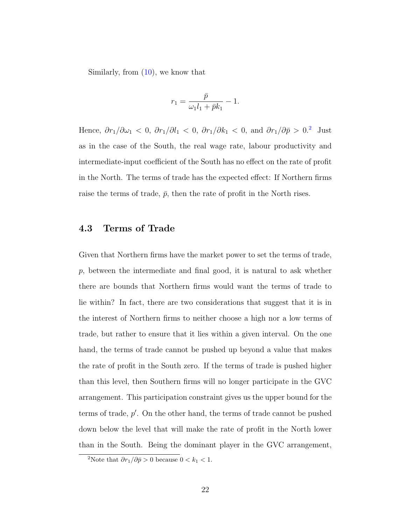Similarly, from [\(10\)](#page-15-1), we know that

$$
r_1=\frac{\bar{p}}{\omega_1l_1+\bar{p}k_1}-1.
$$

Hence,  $\partial r_1/\partial \omega_1$  < 0,  $\partial r_1/\partial l_1$  < 0,  $\partial r_1/\partial k_1$  < 0, and  $\partial r_1/\partial \bar{p}$  > 0.<sup>[2](#page-1-0)</sup> Just as in the case of the South, the real wage rate, labour productivity and intermediate-input coefficient of the South has no effect on the rate of profit in the North. The terms of trade has the expected effect: If Northern firms raise the terms of trade,  $\bar{p}$ , then the rate of profit in the North rises.

#### <span id="page-22-0"></span>4.3 Terms of Trade

Given that Northern firms have the market power to set the terms of trade,  $p$ , between the intermediate and final good, it is natural to ask whether there are bounds that Northern firms would want the terms of trade to lie within? In fact, there are two considerations that suggest that it is in the interest of Northern firms to neither choose a high nor a low terms of trade, but rather to ensure that it lies within a given interval. On the one hand, the terms of trade cannot be pushed up beyond a value that makes the rate of profit in the South zero. If the terms of trade is pushed higher than this level, then Southern firms will no longer participate in the GVC arrangement. This participation constraint gives us the upper bound for the terms of trade,  $p'$ . On the other hand, the terms of trade cannot be pushed down below the level that will make the rate of profit in the North lower than in the South. Being the dominant player in the GVC arrangement,

<sup>&</sup>lt;sup>2</sup>Note that  $\partial r_1/\partial \bar p >0$  because  $0 < k_1 < 1$ .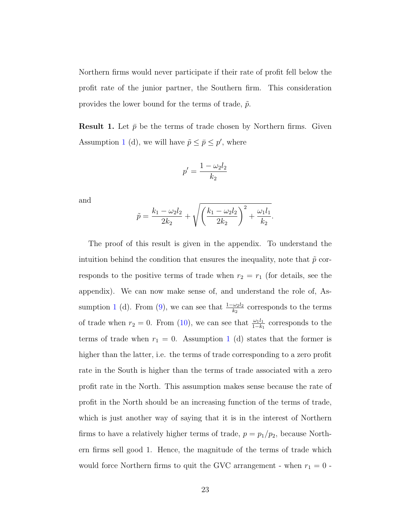Northern firms would never participate if their rate of profit fell below the profit rate of the junior partner, the Southern firm. This consideration provides the lower bound for the terms of trade,  $\tilde{p}$ .

<span id="page-23-0"></span>**Result 1.** Let  $\bar{p}$  be the terms of trade chosen by Northern firms. Given Assumption [1](#page-17-0) (d), we will have  $\tilde{p} \leq \bar{p} \leq p'$ , where

$$
p' = \frac{1 - \omega_2 l_2}{k_2}
$$

and

$$
\tilde{p} = \frac{k_1 - \omega_2 l_2}{2k_2} + \sqrt{\left(\frac{k_1 - \omega_2 l_2}{2k_2}\right)^2 + \frac{\omega_1 l_1}{k_2}}.
$$

The proof of this result is given in the appendix. To understand the intuition behind the condition that ensures the inequality, note that  $\tilde{p}$  corresponds to the positive terms of trade when  $r_2 = r_1$  (for details, see the appendix). We can now make sense of, and understand the role of, As-sumption [1](#page-17-0) (d). From [\(9\)](#page-15-0), we can see that  $\frac{1-\omega_2 l_2}{k_2}$  corresponds to the terms of trade when  $r_2 = 0$ . From [\(10\)](#page-15-1), we can see that  $\frac{\omega_1 l_1}{1 - k_1}$  corresponds to the terms of trade when  $r_1 = 0$  $r_1 = 0$  $r_1 = 0$ . Assumption 1 (d) states that the former is higher than the latter, i.e. the terms of trade corresponding to a zero profit rate in the South is higher than the terms of trade associated with a zero profit rate in the North. This assumption makes sense because the rate of profit in the North should be an increasing function of the terms of trade, which is just another way of saying that it is in the interest of Northern firms to have a relatively higher terms of trade,  $p = p_1/p_2$ , because Northern firms sell good 1. Hence, the magnitude of the terms of trade which would force Northern firms to quit the GVC arrangement - when  $r_1 = 0$  -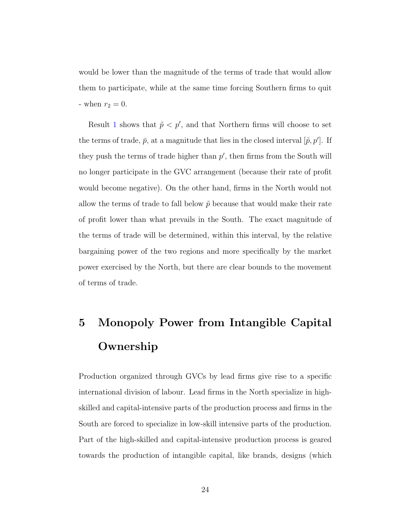would be lower than the magnitude of the terms of trade that would allow them to participate, while at the same time forcing Southern firms to quit - when  $r_2 = 0$ .

Result [1](#page-23-0) shows that  $\tilde{p} < p'$ , and that Northern firms will choose to set the terms of trade,  $\bar{p}$ , at a magnitude that lies in the closed interval  $[\tilde{p}, p']$ . If they push the terms of trade higher than  $p'$ , then firms from the South will no longer participate in the GVC arrangement (because their rate of profit would become negative). On the other hand, firms in the North would not allow the terms of trade to fall below  $\tilde{p}$  because that would make their rate of profit lower than what prevails in the South. The exact magnitude of the terms of trade will be determined, within this interval, by the relative bargaining power of the two regions and more specifically by the market power exercised by the North, but there are clear bounds to the movement of terms of trade.

# <span id="page-24-0"></span>5 Monopoly Power from Intangible Capital Ownership

Production organized through GVCs by lead firms give rise to a specific international division of labour. Lead firms in the North specialize in highskilled and capital-intensive parts of the production process and firms in the South are forced to specialize in low-skill intensive parts of the production. Part of the high-skilled and capital-intensive production process is geared towards the production of intangible capital, like brands, designs (which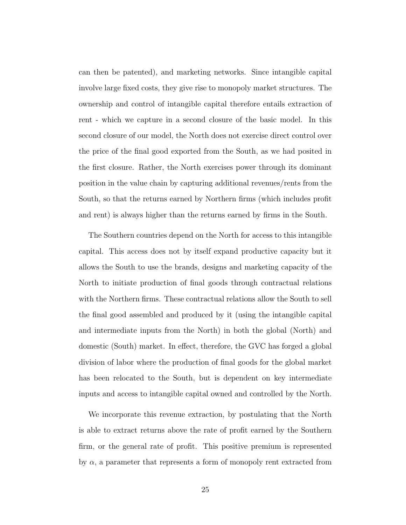can then be patented), and marketing networks. Since intangible capital involve large fixed costs, they give rise to monopoly market structures. The ownership and control of intangible capital therefore entails extraction of rent - which we capture in a second closure of the basic model. In this second closure of our model, the North does not exercise direct control over the price of the final good exported from the South, as we had posited in the first closure. Rather, the North exercises power through its dominant position in the value chain by capturing additional revenues/rents from the South, so that the returns earned by Northern firms (which includes profit and rent) is always higher than the returns earned by firms in the South.

The Southern countries depend on the North for access to this intangible capital. This access does not by itself expand productive capacity but it allows the South to use the brands, designs and marketing capacity of the North to initiate production of final goods through contractual relations with the Northern firms. These contractual relations allow the South to sell the final good assembled and produced by it (using the intangible capital and intermediate inputs from the North) in both the global (North) and domestic (South) market. In effect, therefore, the GVC has forged a global division of labor where the production of final goods for the global market has been relocated to the South, but is dependent on key intermediate inputs and access to intangible capital owned and controlled by the North.

We incorporate this revenue extraction, by postulating that the North is able to extract returns above the rate of profit earned by the Southern firm, or the general rate of profit. This positive premium is represented by  $\alpha$ , a parameter that represents a form of monopoly rent extracted from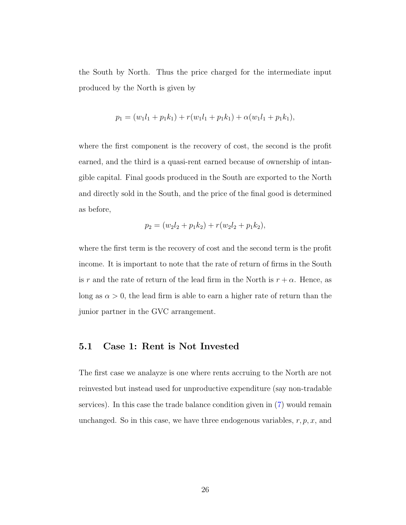the South by North. Thus the price charged for the intermediate input produced by the North is given by

$$
p_1 = (w_1l_1 + p_1k_1) + r(w_1l_1 + p_1k_1) + \alpha(w_1l_1 + p_1k_1),
$$

where the first component is the recovery of cost, the second is the profit earned, and the third is a quasi-rent earned because of ownership of intangible capital. Final goods produced in the South are exported to the North and directly sold in the South, and the price of the final good is determined as before,

$$
p_2 = (w_2l_2 + p_1k_2) + r(w_2l_2 + p_1k_2),
$$

where the first term is the recovery of cost and the second term is the profit income. It is important to note that the rate of return of firms in the South is r and the rate of return of the lead firm in the North is  $r + \alpha$ . Hence, as long as  $\alpha > 0$ , the lead firm is able to earn a higher rate of return than the junior partner in the GVC arrangement.

#### 5.1 Case 1: Rent is Not Invested

The first case we analayze is one where rents accruing to the North are not reinvested but instead used for unproductive expenditure (say non-tradable services). In this case the trade balance condition given in [\(7\)](#page-15-3) would remain unchanged. So in this case, we have three endogenous variables,  $r, p, x$ , and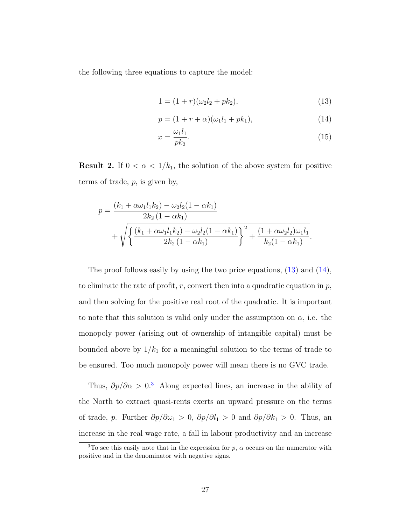the following three equations to capture the model:

<span id="page-27-1"></span><span id="page-27-0"></span>
$$
1 = (1+r)(\omega_2 l_2 + p k_2), \tag{13}
$$

$$
p = (1+r+\alpha)(\omega_1 l_1 + p k_1),\tag{14}
$$

$$
x = \frac{\omega_1 l_1}{p k_2}.\tag{15}
$$

<span id="page-27-2"></span>**Result 2.** If  $0 < \alpha < 1/k_1$ , the solution of the above system for positive terms of trade,  $p$ , is given by,

$$
p = \frac{(k_1 + \alpha \omega_1 l_1 k_2) - \omega_2 l_2 (1 - \alpha k_1)}{2k_2 (1 - \alpha k_1)} + \sqrt{\left\{ \frac{(k_1 + \alpha \omega_1 l_1 k_2) - \omega_2 l_2 (1 - \alpha k_1)}{2k_2 (1 - \alpha k_1)} \right\}^2 + \frac{(1 + \alpha \omega_2 l_2) \omega_1 l_1}{k_2 (1 - \alpha k_1)}}.
$$

The proof follows easily by using the two price equations, [\(13\)](#page-27-0) and [\(14\)](#page-27-1), to eliminate the rate of profit, r, convert then into a quadratic equation in  $p$ , and then solving for the positive real root of the quadratic. It is important to note that this solution is valid only under the assumption on  $\alpha$ , i.e. the monopoly power (arising out of ownership of intangible capital) must be bounded above by  $1/k_1$  for a meaningful solution to the terms of trade to be ensured. Too much monopoly power will mean there is no GVC trade.

Thus,  $\partial p/\partial \alpha > 0$ <sup>[3](#page-1-0)</sup> Along expected lines, an increase in the ability of the North to extract quasi-rents exerts an upward pressure on the terms of trade, p. Further  $\partial p/\partial \omega_1 > 0$ ,  $\partial p/\partial l_1 > 0$  and  $\partial p/\partial k_1 > 0$ . Thus, an increase in the real wage rate, a fall in labour productivity and an increase

<sup>&</sup>lt;sup>3</sup>To see this easily note that in the expression for  $p$ ,  $\alpha$  occurs on the numerator with positive and in the denominator with negative signs.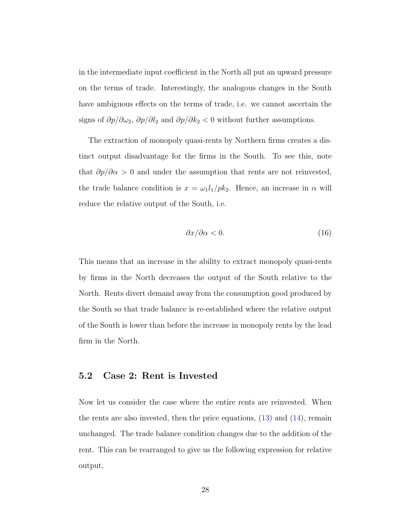in the intermediate input coefficient in the North all put an upward pressure on the terms of trade. Interestingly, the analogous changes in the South have ambiguous effects on the terms of trade, i.e. we cannot ascertain the signs of  $\partial p/\partial \omega_2$ ,  $\partial p/\partial l_2$  and  $\partial p/\partial k_2 < 0$  without further assumptions.

The extraction of monopoly quasi-rents by Northern firms creates a distinct output disadvantage for the firms in the South. To see this, note that  $\partial p/\partial \alpha > 0$  and under the assumption that rents are not reinvested, the trade balance condition is  $x = \omega_1 l_1 / p k_2$ . Hence, an increase in  $\alpha$  will reduce the relative output of the South, i.e.

$$
\frac{\partial x}{\partial \alpha} < 0. \tag{16}
$$

This means that an increase in the ability to extract monopoly quasi-rents by firms in the North decreases the output of the South relative to the North. Rents divert demand away from the consumption good produced by the South so that trade balance is re-established where the relative output of the South is lower than before the increase in monopoly rents by the lead firm in the North.

#### 5.2 Case 2: Rent is Invested

Now let us consider the case where the entire rents are reinvested. When the rents are also invested, then the price equations,  $(13)$  and  $(14)$ , remain unchanged. The trade balance condition changes due to the addition of the rent. This can be rearranged to give us the following expression for relative output,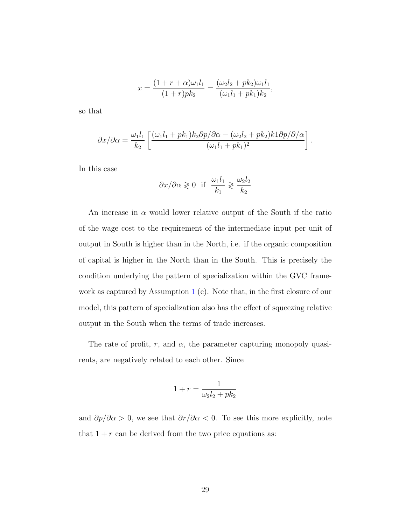$$
x = \frac{(1+r+\alpha)\omega_1 l_1}{(1+r)p k_2} = \frac{(\omega_2 l_2 + p k_2)\omega_1 l_1}{(\omega_1 l_1 + p k_1) k_2},
$$

so that

$$
\partial x/\partial \alpha = \frac{\omega_1 l_1}{k_2} \left[ \frac{(\omega_1 l_1 + pk_1)k_2 \partial p/\partial \alpha - (\omega_2 l_2 + pk_2)k1 \partial p/\partial/\alpha}{(\omega_1 l_1 + pk_1)^2} \right].
$$

In this case

$$
\partial x/\partial \alpha \geq 0
$$
 if  $\frac{\omega_1 l_1}{k_1} \geq \frac{\omega_2 l_2}{k_2}$ 

An increase in  $\alpha$  would lower relative output of the South if the ratio of the wage cost to the requirement of the intermediate input per unit of output in South is higher than in the North, i.e. if the organic composition of capital is higher in the North than in the South. This is precisely the condition underlying the pattern of specialization within the GVC framework as captured by Assumption [1](#page-17-0) (c). Note that, in the first closure of our model, this pattern of specialization also has the effect of squeezing relative output in the South when the terms of trade increases.

The rate of profit, r, and  $\alpha$ , the parameter capturing monopoly quasirents, are negatively related to each other. Since

$$
1 + r = \frac{1}{\omega_2 l_2 + p k_2}
$$

and  $\partial p/\partial \alpha > 0$ , we see that  $\partial r/\partial \alpha < 0$ . To see this more explicitly, note that  $1 + r$  can be derived from the two price equations as: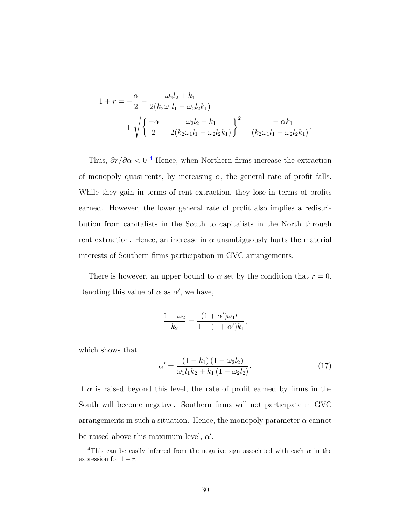$$
1 + r = -\frac{\alpha}{2} - \frac{\omega_2 l_2 + k_1}{2(k_2 \omega_1 l_1 - \omega_2 l_2 k_1)} + \sqrt{\left\{ \frac{-\alpha}{2} - \frac{\omega_2 l_2 + k_1}{2(k_2 \omega_1 l_1 - \omega_2 l_2 k_1)} \right\}^2 + \frac{1 - \alpha k_1}{(k_2 \omega_1 l_1 - \omega_2 l_2 k_1)}}.
$$

Thus,  $\partial r / \partial \alpha < 0$ <sup>[4](#page-1-0)</sup> Hence, when Northern firms increase the extraction of monopoly quasi-rents, by increasing  $\alpha$ , the general rate of profit falls. While they gain in terms of rent extraction, they lose in terms of profits earned. However, the lower general rate of profit also implies a redistribution from capitalists in the South to capitalists in the North through rent extraction. Hence, an increase in  $\alpha$  unambiguously hurts the material interests of Southern firms participation in GVC arrangements.

There is however, an upper bound to  $\alpha$  set by the condition that  $r = 0$ . Denoting this value of  $\alpha$  as  $\alpha'$ , we have,

$$
\frac{1 - \omega_2}{k_2} = \frac{(1 + \alpha')\omega_1 l_1}{1 - (1 + \alpha')k_1},
$$

which shows that

$$
\alpha' = \frac{(1 - k_1)(1 - \omega_2 l_2)}{\omega_1 l_1 k_2 + k_1 (1 - \omega_2 l_2)}.
$$
\n(17)

If  $\alpha$  is raised beyond this level, the rate of profit earned by firms in the South will become negative. Southern firms will not participate in GVC arrangements in such a situation. Hence, the monopoly parameter  $\alpha$  cannot be raised above this maximum level,  $\alpha'$ .

<sup>&</sup>lt;sup>4</sup>This can be easily inferred from the negative sign associated with each  $\alpha$  in the expression for  $1 + r$ .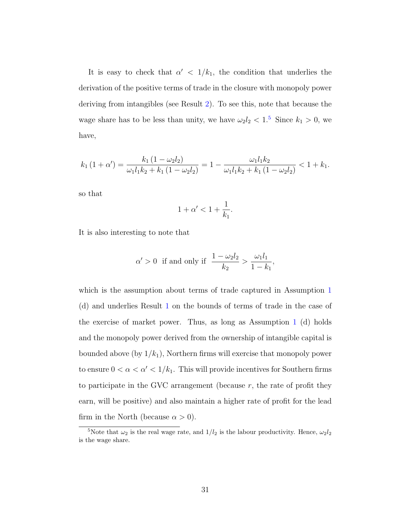It is easy to check that  $\alpha' < 1/k_1$ , the condition that underlies the derivation of the positive terms of trade in the closure with monopoly power deriving from intangibles (see Result [2\)](#page-27-2). To see this, note that because the wage share has to be less than unity, we have  $\omega_2 l_2 < 1.5$  $\omega_2 l_2 < 1.5$  Since  $k_1 > 0$ , we have,

$$
k_1(1+\alpha') = \frac{k_1(1-\omega_2l_2)}{\omega_1l_1k_2 + k_1(1-\omega_2l_2)} = 1 - \frac{\omega_1l_1k_2}{\omega_1l_1k_2 + k_1(1-\omega_2l_2)} < 1 + k_1.
$$

so that

$$
1+\alpha'<1+\frac{1}{k_1}.
$$

It is also interesting to note that

$$
\alpha' > 0
$$
 if and only if  $\frac{1 - \omega_2 l_2}{k_2} > \frac{\omega_1 l_1}{1 - k_1}$ ,

which is the assumption about terms of trade captured in Assumption [1](#page-17-0) (d) and underlies Result [1](#page-23-0) on the bounds of terms of trade in the case of the exercise of market power. Thus, as long as Assumption [1](#page-17-0) (d) holds and the monopoly power derived from the ownership of intangible capital is bounded above (by  $1/k_1$ ), Northern firms will exercise that monopoly power to ensure  $0 < \alpha < \alpha' < 1/k_1$ . This will provide incentives for Southern firms to participate in the GVC arrangement (because  $r$ , the rate of profit they earn, will be positive) and also maintain a higher rate of profit for the lead firm in the North (because  $\alpha > 0$ ).

<sup>&</sup>lt;sup>5</sup>Note that  $\omega_2$  is the real wage rate, and  $1/l_2$  is the labour productivity. Hence,  $\omega_2 l_2$ is the wage share.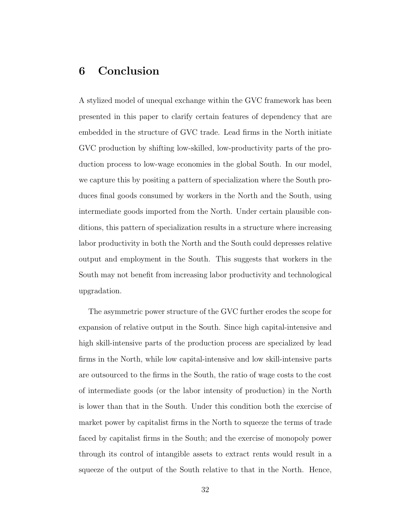## 6 Conclusion

A stylized model of unequal exchange within the GVC framework has been presented in this paper to clarify certain features of dependency that are embedded in the structure of GVC trade. Lead firms in the North initiate GVC production by shifting low-skilled, low-productivity parts of the production process to low-wage economies in the global South. In our model, we capture this by positing a pattern of specialization where the South produces final goods consumed by workers in the North and the South, using intermediate goods imported from the North. Under certain plausible conditions, this pattern of specialization results in a structure where increasing labor productivity in both the North and the South could depresses relative output and employment in the South. This suggests that workers in the South may not benefit from increasing labor productivity and technological upgradation.

The asymmetric power structure of the GVC further erodes the scope for expansion of relative output in the South. Since high capital-intensive and high skill-intensive parts of the production process are specialized by lead firms in the North, while low capital-intensive and low skill-intensive parts are outsourced to the firms in the South, the ratio of wage costs to the cost of intermediate goods (or the labor intensity of production) in the North is lower than that in the South. Under this condition both the exercise of market power by capitalist firms in the North to squeeze the terms of trade faced by capitalist firms in the South; and the exercise of monopoly power through its control of intangible assets to extract rents would result in a squeeze of the output of the South relative to that in the North. Hence,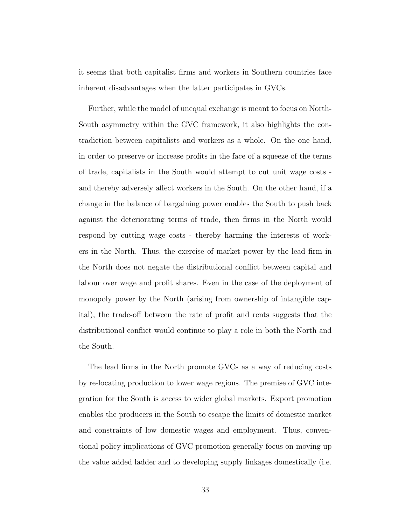it seems that both capitalist firms and workers in Southern countries face inherent disadvantages when the latter participates in GVCs.

Further, while the model of unequal exchange is meant to focus on North-South asymmetry within the GVC framework, it also highlights the contradiction between capitalists and workers as a whole. On the one hand, in order to preserve or increase profits in the face of a squeeze of the terms of trade, capitalists in the South would attempt to cut unit wage costs and thereby adversely affect workers in the South. On the other hand, if a change in the balance of bargaining power enables the South to push back against the deteriorating terms of trade, then firms in the North would respond by cutting wage costs - thereby harming the interests of workers in the North. Thus, the exercise of market power by the lead firm in the North does not negate the distributional conflict between capital and labour over wage and profit shares. Even in the case of the deployment of monopoly power by the North (arising from ownership of intangible capital), the trade-off between the rate of profit and rents suggests that the distributional conflict would continue to play a role in both the North and the South.

The lead firms in the North promote GVCs as a way of reducing costs by re-locating production to lower wage regions. The premise of GVC integration for the South is access to wider global markets. Export promotion enables the producers in the South to escape the limits of domestic market and constraints of low domestic wages and employment. Thus, conventional policy implications of GVC promotion generally focus on moving up the value added ladder and to developing supply linkages domestically (i.e.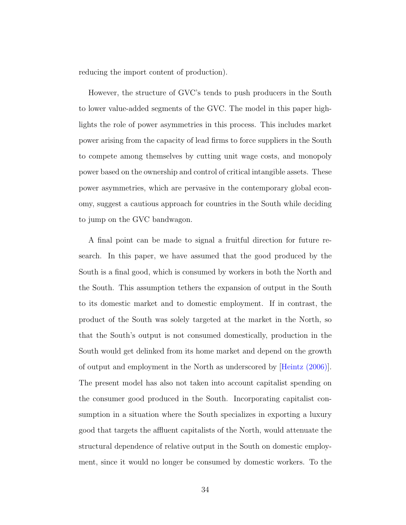reducing the import content of production).

However, the structure of GVC's tends to push producers in the South to lower value-added segments of the GVC. The model in this paper highlights the role of power asymmetries in this process. This includes market power arising from the capacity of lead firms to force suppliers in the South to compete among themselves by cutting unit wage costs, and monopoly power based on the ownership and control of critical intangible assets. These power asymmetries, which are pervasive in the contemporary global economy, suggest a cautious approach for countries in the South while deciding to jump on the GVC bandwagon.

A final point can be made to signal a fruitful direction for future research. In this paper, we have assumed that the good produced by the South is a final good, which is consumed by workers in both the North and the South. This assumption tethers the expansion of output in the South to its domestic market and to domestic employment. If in contrast, the product of the South was solely targeted at the market in the North, so that the South's output is not consumed domestically, production in the South would get delinked from its home market and depend on the growth of output and employment in the North as underscored by [\[Heintz \(2006\)\]](#page-38-7). The present model has also not taken into account capitalist spending on the consumer good produced in the South. Incorporating capitalist consumption in a situation where the South specializes in exporting a luxury good that targets the affluent capitalists of the North, would attenuate the structural dependence of relative output in the South on domestic employment, since it would no longer be consumed by domestic workers. To the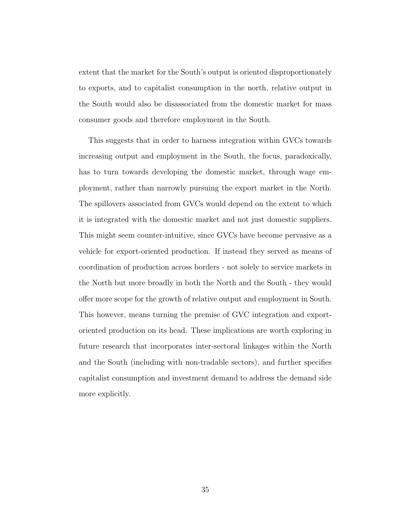extent that the market for the South's output is oriented disproportionately to exports, and to capitalist consumption in the north, relative output in the South would also be disassociated from the domestic market for mass consumer goods and therefore employment in the South.

This suggests that in order to harness integration within GVCs towards increasing output and employment in the South, the focus, paradoxically, has to turn towards developing the domestic market, through wage employment, rather than narrowly pursuing the export market in the North. The spillovers associated from GVCs would depend on the extent to which it is integrated with the domestic market and not just domestic suppliers. This might seem counter-intuitive, since GVCs have become pervasive as a vehicle for export-oriented production. If instead they served as means of coordination of production across borders - not solely to service markets in the North but more broadly in both the North and the South - they would offer more scope for the growth of relative output and employment in South. This however, means turning the premise of GVC integration and exportoriented production on its head. These implications are worth exploring in future research that incorporates inter-sectoral linkages within the North and the South (including with non-tradable sectors), and further specifies capitalist consumption and investment demand to address the demand side more explicitly.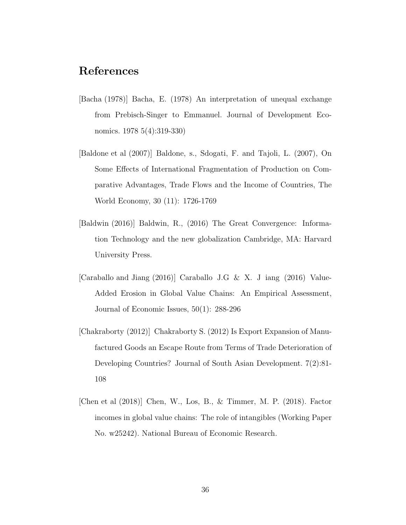## References

- <span id="page-36-5"></span>[Bacha (1978)] Bacha, E. (1978) An interpretation of unequal exchange from Prebisch-Singer to Emmanuel. Journal of Development Economics. 1978 5(4):319-330)
- <span id="page-36-1"></span>[Baldone et al (2007)] Baldone, s., Sdogati, F. and Tajoli, L. (2007), On Some Effects of International Fragmentation of Production on Comparative Advantages, Trade Flows and the Income of Countries, The World Economy, 30 (11): 1726-1769
- <span id="page-36-2"></span>[Baldwin (2016)] Baldwin, R., (2016) The Great Convergence: Information Technology and the new globalization Cambridge, MA: Harvard University Press.
- <span id="page-36-4"></span>[Caraballo and Jiang (2016)] Caraballo J.G & X. J iang (2016) Value-Added Erosion in Global Value Chains: An Empirical Assessment, Journal of Economic Issues, 50(1): 288-296
- <span id="page-36-0"></span>[Chakraborty (2012)] Chakraborty S. (2012) Is Export Expansion of Manufactured Goods an Escape Route from Terms of Trade Deterioration of Developing Countries? Journal of South Asian Development. 7(2):81- 108
- <span id="page-36-3"></span>[Chen et al (2018)] Chen, W., Los, B., & Timmer, M. P. (2018). Factor incomes in global value chains: The role of intangibles (Working Paper No. w25242). National Bureau of Economic Research.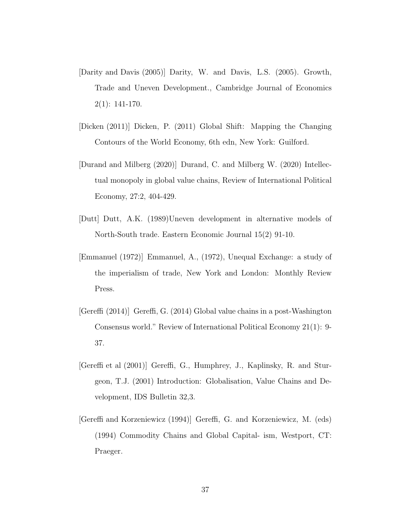- <span id="page-37-7"></span>[Darity and Davis (2005)] Darity, W. and Davis, L.S. (2005). Growth, Trade and Uneven Development., Cambridge Journal of Economics  $2(1): 141-170.$
- <span id="page-37-0"></span>[Dicken (2011)] Dicken, P. (2011) Global Shift: Mapping the Changing Contours of the World Economy, 6th edn, New York: Guilford.
- <span id="page-37-5"></span>[Durand and Milberg (2020)] Durand, C. and Milberg W. (2020) Intellectual monopoly in global value chains, Review of International Political Economy, 27:2, 404-429.
- <span id="page-37-6"></span>[Dutt] Dutt, A.K. (1989)Uneven development in alternative models of North-South trade. Eastern Economic Journal 15(2) 91-10.
- <span id="page-37-3"></span>[Emmanuel (1972)] Emmanuel, A., (1972), Unequal Exchange: a study of the imperialism of trade, New York and London: Monthly Review Press.
- <span id="page-37-4"></span>[Gereffi (2014)] Gereffi, G. (2014) Global value chains in a post-Washington Consensus world." Review of International Political Economy 21(1): 9- 37.
- <span id="page-37-1"></span>[Gereffi et al (2001)] Gereffi, G., Humphrey, J., Kaplinsky, R. and Sturgeon, T.J. (2001) Introduction: Globalisation, Value Chains and Development, IDS Bulletin 32,3.
- <span id="page-37-2"></span>[Gereffi and Korzeniewicz (1994)] Gereffi, G. and Korzeniewicz, M. (eds) (1994) Commodity Chains and Global Capital- ism, Westport, CT: Praeger.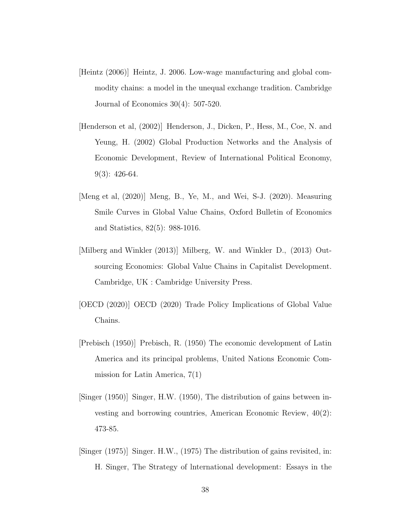- <span id="page-38-7"></span>[Heintz (2006)] Heintz, J. 2006. Low-wage manufacturing and global commodity chains: a model in the unequal exchange tradition. Cambridge Journal of Economics 30(4): 507-520.
- <span id="page-38-0"></span>[Henderson et al, (2002)] Henderson, J., Dicken, P., Hess, M., Coe, N. and Yeung, H. (2002) Global Production Networks and the Analysis of Economic Development, Review of International Political Economy,  $9(3): 426-64.$
- <span id="page-38-6"></span>[Meng et al, (2020)] Meng, B., Ye, M., and Wei, S-J. (2020). Measuring Smile Curves in Global Value Chains, Oxford Bulletin of Economics and Statistics, 82(5): 988-1016.
- <span id="page-38-5"></span>[Milberg and Winkler (2013)] Milberg, W. and Winkler D., (2013) Outsourcing Economics: Global Value Chains in Capitalist Development. Cambridge, UK : Cambridge University Press.
- <span id="page-38-1"></span>[OECD (2020)] OECD (2020) Trade Policy Implications of Global Value Chains.
- <span id="page-38-2"></span>[Prebisch (1950)] Prebisch, R. (1950) The economic development of Latin America and its principal problems, United Nations Economic Commission for Latin America, 7(1)
- <span id="page-38-3"></span>[Singer (1950)] Singer, H.W. (1950), The distribution of gains between investing and borrowing countries, American Economic Review, 40(2): 473-85.
- <span id="page-38-4"></span>[Singer (1975)] Singer. H.W., (1975) The distribution of gains revisited, in: H. Singer, The Strategy of lnternational development: Essays in the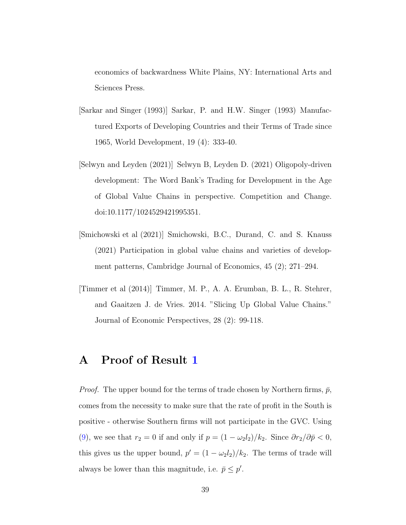economics of backwardness White Plains, NY: International Arts and Sciences Press.

- <span id="page-39-2"></span>[Sarkar and Singer (1993)] Sarkar, P. and H.W. Singer (1993) Manufactured Exports of Developing Countries and their Terms of Trade since 1965, World Development, 19 (4): 333-40.
- <span id="page-39-1"></span>[Selwyn and Leyden (2021)] Selwyn B, Leyden D. (2021) Oligopoly-driven development: The Word Bank's Trading for Development in the Age of Global Value Chains in perspective. Competition and Change. doi:10.1177/1024529421995351.
- <span id="page-39-3"></span>[Smichowski et al (2021)] Smichowski, B.C., Durand, C. and S. Knauss (2021) Participation in global value chains and varieties of development patterns, Cambridge Journal of Economics, 45 (2); 271–294.
- <span id="page-39-0"></span>[Timmer et al (2014)] Timmer, M. P., A. A. Erumban, B. L., R. Stehrer, and Gaaitzen J. de Vries. 2014. "Slicing Up Global Value Chains." Journal of Economic Perspectives, 28 (2): 99-118.

## A Proof of Result [1](#page-23-0)

*Proof.* The upper bound for the terms of trade chosen by Northern firms,  $\bar{p}$ , comes from the necessity to make sure that the rate of profit in the South is positive - otherwise Southern firms will not participate in the GVC. Using [\(9\)](#page-15-0), we see that  $r_2 = 0$  if and only if  $p = (1 - \omega_2 l_2)/k_2$ . Since  $\partial r_2/\partial \bar{p} < 0$ , this gives us the upper bound,  $p' = (1 - \omega_2 l_2)/k_2$ . The terms of trade will always be lower than this magnitude, i.e.  $\bar{p} \leq p'$ .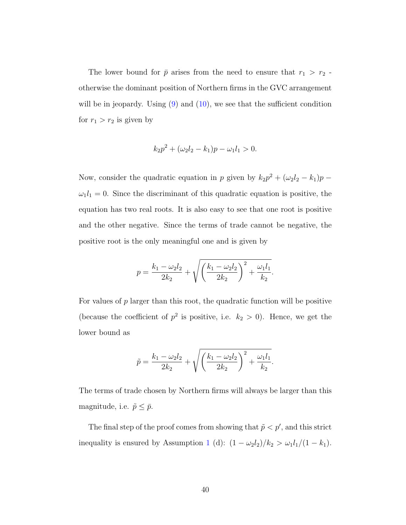The lower bound for  $\bar{p}$  arises from the need to ensure that  $r_1 > r_2$ . otherwise the dominant position of Northern firms in the GVC arrangement will be in jeopardy. Using  $(9)$  and  $(10)$ , we see that the sufficient condition for  $r_1 > r_2$  is given by

$$
k_2p^2 + (\omega_2l_2 - k_1)p - \omega_1l_1 > 0.
$$

Now, consider the quadratic equation in p given by  $k_2p^2 + (\omega_2l_2 - k_1)p \omega_1 l_1 = 0$ . Since the discriminant of this quadratic equation is positive, the equation has two real roots. It is also easy to see that one root is positive and the other negative. Since the terms of trade cannot be negative, the positive root is the only meaningful one and is given by

$$
p = \frac{k_1 - \omega_2 l_2}{2k_2} + \sqrt{\left(\frac{k_1 - \omega_2 l_2}{2k_2}\right)^2 + \frac{\omega_1 l_1}{k_2}}.
$$

For values of  $p$  larger than this root, the quadratic function will be positive (because the coefficient of  $p^2$  is positive, i.e.  $k_2 > 0$ ). Hence, we get the lower bound as

$$
\tilde{p} = \frac{k_1 - \omega_2 l_2}{2k_2} + \sqrt{\left(\frac{k_1 - \omega_2 l_2}{2k_2}\right)^2 + \frac{\omega_1 l_1}{k_2}}.
$$

The terms of trade chosen by Northern firms will always be larger than this magnitude, i.e.  $\tilde{p} \leq \bar{p}$ .

The final step of the proof comes from showing that  $\tilde{p} < p'$ , and this strict inequality is ensured by Assumption [1](#page-17-0) (d):  $(1 - \omega_2 l_2)/k_2 > \omega_1 l_1/(1 - k_1)$ .